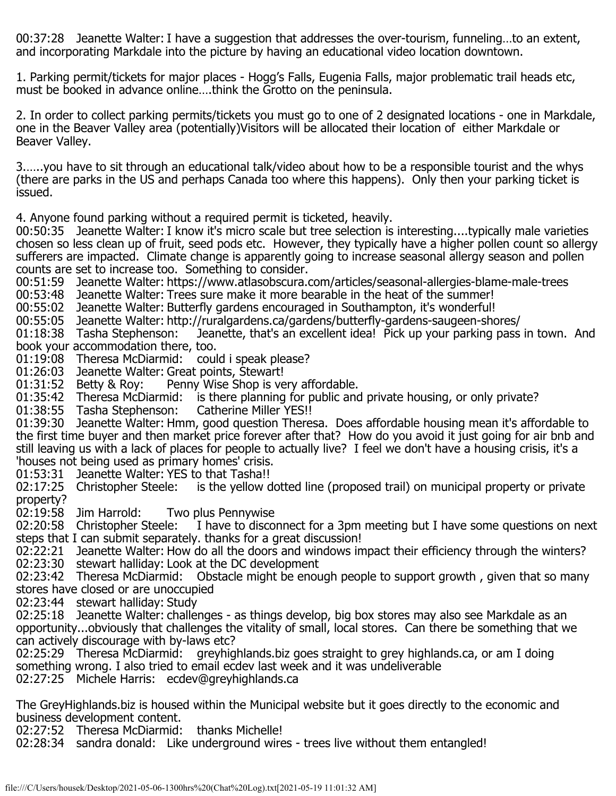00:37:28 Jeanette Walter: I have a suggestion that addresses the over-tourism, funneling…to an extent, and incorporating Markdale into the picture by having an educational video location downtown.

1. Parking permit/tickets for major places - Hogg's Falls, Eugenia Falls, major problematic trail heads etc, must be booked in advance online….think the Grotto on the peninsula.

2. In order to collect parking permits/tickets you must go to one of 2 designated locations - one in Markdale, one in the Beaver Valley area (potentially)Visitors will be allocated their location of either Markdale or Beaver Valley.

3.…..you have to sit through an educational talk/video about how to be a responsible tourist and the whys (there are parks in the US and perhaps Canada too where this happens). Only then your parking ticket is issued.

4. Anyone found parking without a required permit is ticketed, heavily.

00:50:35 Jeanette Walter: I know it's micro scale but tree selection is interesting....typically male varieties chosen so less clean up of fruit, seed pods etc. However, they typically have a higher pollen count so allergy sufferers are impacted. Climate change is apparently going to increase seasonal allergy season and pollen counts are set to increase too. Something to consider.

00:51:59 Jeanette Walter: https://www.atlasobscura.com/articles/seasonal-allergies-blame-male-trees

00:53:48 Jeanette Walter: Trees sure make it more bearable in the heat of the summer!

00:55:02 Jeanette Walter: Butterfly gardens encouraged in Southampton, it's wonderful!

00:55:05 Jeanette Walter: http://ruralgardens.ca/gardens/butterfly-gardens-saugeen-shores/<br>01:18:38 Tasha Stephenson: Jeanette, that's an excellent idea! Pick up your parking pass

Jeanette, that's an excellent idea! Pick up your parking pass in town. And book your accommodation there, too.

01:19:08 Theresa McDiarmid: could i speak please?

01:26:03 Jeanette Walter: Great points, Stewart!<br>01:31:52 Betty & Roy: Penny Wise Shop is ve

Penny Wise Shop is very affordable.

01:35:42 Theresa McDiarmid: is there planning for public and private housing, or only private?

01:38:55 Tasha Stephenson: Catherine Miller YES!!

01:39:30 Jeanette Walter: Hmm, good question Theresa. Does affordable housing mean it's affordable to the first time buyer and then market price forever after that? How do you avoid it just going for air bnb and still leaving us with a lack of places for people to actually live? I feel we don't have a housing crisis, it's a 'houses not being used as primary homes' crisis.

01:53:31 Jeanette Walter: YES to that Tasha!!<br>02:17:25 Christopher Steele: is the yellow d is the yellow dotted line (proposed trail) on municipal property or private property?

02:19:58 Jim Harrold: Two plus Pennywise<br>02:20:58 Christopher Steele: I have to disco

I have to disconnect for a 3pm meeting but I have some questions on next steps that I can submit separately. thanks for a great discussion!

02:22:21 Jeanette Walter: How do all the doors and windows impact their efficiency through the winters? 02:23:30 stewart halliday: Look at the DC development

02:23:42 Theresa McDiarmid: Obstacle might be enough people to support growth, given that so many stores have closed or are unoccupied

02:23:44 stewart halliday: Study

02:25:18 Jeanette Walter: challenges - as things develop, big box stores may also see Markdale as an opportunity...obviously that challenges the vitality of small, local stores. Can there be something that we can actively discourage with by-laws etc?

02:25:29 Theresa McDiarmid: greyhighlands.biz goes straight to grey highlands.ca, or am I doing something wrong. I also tried to email ecdev last week and it was undeliverable

02:27:25 Michele Harris: ecdev@greyhighlands.ca

The GreyHighlands.biz is housed within the Municipal website but it goes directly to the economic and business development content.

02:27:52 Theresa McDiarmid: thanks Michelle!

02:28:34 sandra donald: Like underground wires - trees live without them entangled!